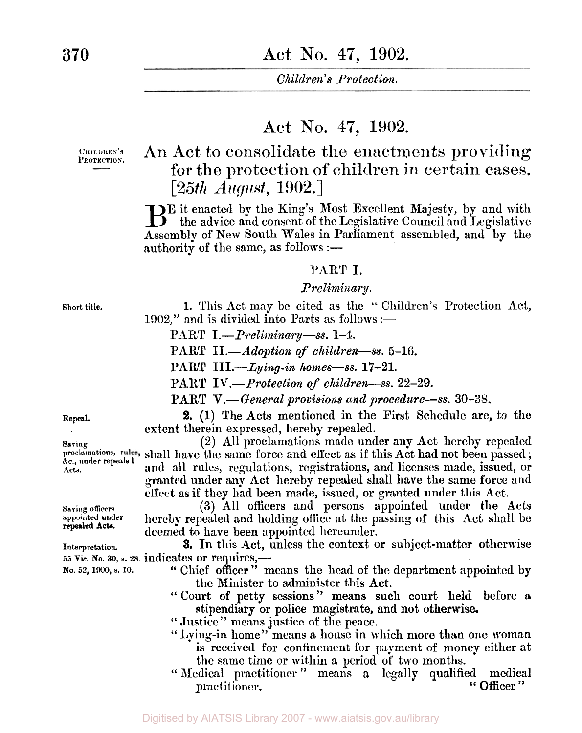# Act No. **47,** 1902.

CHILDREN'S PROTECTION.

# **An** Act to consolidate the enactments providing for the protection of children in certain cases. *[25th August,* 1902.]

BE it enacted by the King's Most Excellent Majesty, by and with the advice and consent of the Legislative Council and Legislative Assembly of New South Wales in Parliament assembled, and by the authority of the same, as follows  $:$   $-$ 

#### PART I.

#### *Preliminary* .

**Short title.** 1. This Act may be cited as the '' Children's Protection Act, **1902,"** and is divided into Parts as follows :—

PART *I.-Preliminary-ss.* **1-4.** 

**PART** *II-Adoption of children-ss.* **5-16.** 

PART *III.-Lying-in homes-ss.* **17-21.** 

**PL4RT** *IV.-Protection of children-ss.* **22-29.** 

**PART V.**—General provisions and procedure—ss. 30–38.

**2. (1)** The Acts mentioned in the First Schedule are, to the extent therein expressed, hereby repealed.

Saving<br>proclamations, rules, shall have the same force and effect as if this Act had not been passed ;<br>secunder repealed **(2)** All proclamations made under any Act hereby repealed and all rules, regulations, registrations, and licenses made, issued, or **granted** under **any** Act hereby repealed shall have the same force and effect **as if** they had been made, issued, **or** granted under this Act.

**Saving officers (3)** All officers and persons appointed under the Acts hereby repealed and holding office at the passing of this Act shall be deemed to have been appointed hereunder.

**Interpretation. 3.** *In* this Act, unless the context or subject-matter otherwise *<sup>55</sup>***Vic. No. 30, s.** *28.* indicates or requires,-

- **No. 52, 1900, s.** 10. " Chief **officer** " means the head of the department appointed by the Minister to administer this Act.
	- " Court of petty sessions" means such court held before **<sup>a</sup>** stipendiary or police magistrate, and not otherwise.
	- " Justice" means justice of the peace.
	- " Lying-in home" means a house in which more than one woman is received for confinement for payment of money either at the same time or within **a** period of two months.
	- " Medical practitioner " means a legally qualified medical practitioner.

**Repeal.** 

**Saving Acts.**  *&c,* **under repealed** 

**repealed Acts.**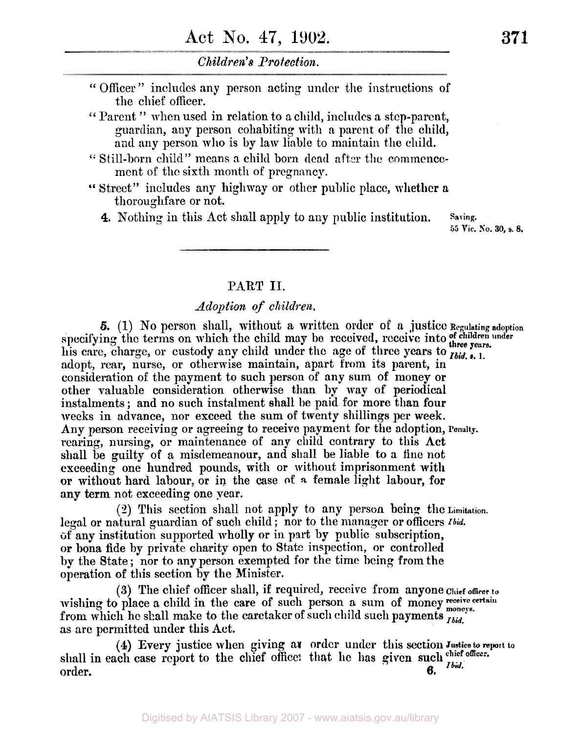" Officer " includes any person acting under the instructions of the chief officer.

Parent " when used in relation to a child, includes a step-parent, guardian, any person cohabiting with a parent of the child, and any person who is by law liable to maintain the child.

- " Still-born child" means a child born dead after the commencement of the sixth month of pregnancy.
- Street" includes any highway or other public place, whether a thoroughfare or not.
	- **4,** Nothing in this Act shall apply to **any** public institution. **Saving.**

*<sup>55</sup>*Vic. **No. 30,** s. **8.** 

### **PART II.**

### *Adoption of children.*

specifying the terms on which the child may be received, receive into of children under pears. his care, charge, or custody any child under the age of three years to **Ibid.** s. 1. adopt, rear, nurse, or otherwise maintain, apart from its parent, in consideration of the payment to such person of any sum of money or other valuable consideration otherwise than by way of periodical instalments ; and no such instalment shall be paid for more than four weeks in advance, nor exceed the sum of twenty shillings per week. Any person receiving or agreeing to receive payment for the adoption, Penalty. rearing, nursing, or maintenance of any child contrary to this Act shall be guilty **of** a misdemeanour, and shall be liable to a **fine** not exceeding one hundred pounds, with or without imprisonment with or without hard labour, or in the **case of a** female light labour, for any term not exceeding one year. **5.** (1) No person shall, without a written order **of** a justice **Regulating adoption** 

legal or natural guardian of such child ; nor to the manager or officers *Ibid.*  **of** any institution supported wholly or **iii** part by public subscription, **or** bona fide by private charity open to State inspection, or controlled by the State ; nor to any person exempted for the time being from the operation of this section by the Minister. **(2)** This section shall not apply to **any** person being the **Limitation.** 

**(3)** The chief officer shall, if required, receive from anyone **Chief officer to**  wishing to place a child in the care of such person a sum of money receive certain from which he shall make to the caretaker of such child such payments *Ibid.*  as are permitted under this Act.

shall in each case report to the chief office: that he has given such  $\frac{c}{d}$  officer. order. *6.*  **(4)** Every justice when **giving** an order under this section **Justice to report** to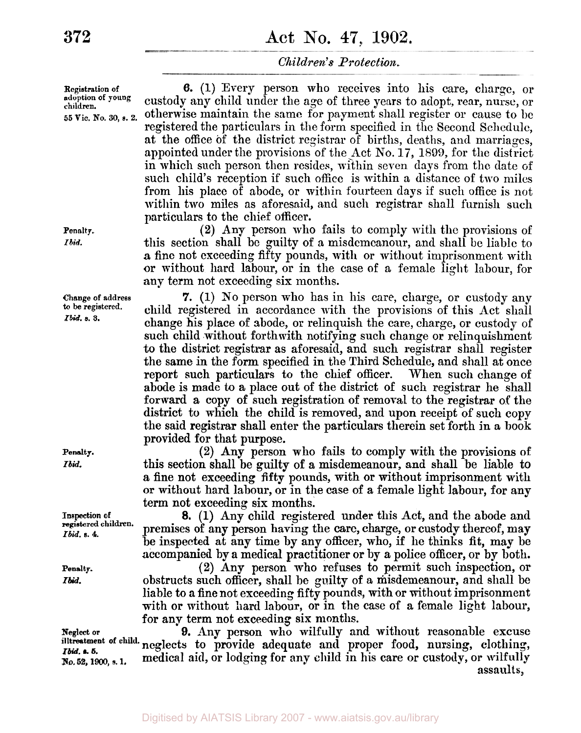**Registration of 6. (1)** Every person who receives into his care, charge, or adoption of young ents of the logo of three years to adopt noon numerical **adoption of young** custody any child under the age of three years to adopt, rear, nurse, or **55 Vic, No. 30,** *s.* **2.** otherwise maintain the same for payment shall register or cause to be registered the particulars in the form specified in the Second Schedule, at the office of the district registrar of births, deaths, and marriages, appointed under the provisions of the Act No. 17, 1899, for the district in which such person then resides, within seven days from the date of such child's reception if such office is within a distance of two miles from his place of abode, or within fourteen days if such office is not within two miles as aforesaid, and such registrar shall furnish such particulars to the chief officer.

> **(2)** Any person who fails to comply with the provisions of this section shall be guilty of a misdemeanour, and shall be liable to **a** fine not exceeding fifty pounds, with or without imprisonment with or without hard labour, or in the case of a female light labour, for any term not exceeding six months.

> **7.** (1) No person who has in his care, charge, or custody any child registered in accordance with the provisions of this Act shall change his place of abode, or relinquish the care, charge, or custody of such child without forthwith notifying such change or relinquishment **to** the district registrar as aforesaid, and such registrar shall register the same in the form specified in the Third Schedule, and shall at once report such particulars to the chief officer. When such change of abode is made **to** a place out of the district of such registrar he shall forward a copy of such registration of removal to the registrar of the district to which the child is removed, and upon receipt of such copy the said registrar shall enter the particulars therein set forth in a book provided for that purpose.

> **(2)** Any person who fails to comply with the provisions of this section shall be guilty of **a** misdemeanour, and shall be liable to a fine not exceeding fifty pounds, with or without imprisonment with or without hard labour, or in the case of a female light labour, for any term not exceeding six months.

> *8.* (1) Any child registered under this Act, and the abode and premises **of** any person having the care, charge, or custody thereof, may be inspected at **any** time by any officer, who, if he thinks fit, may be accompanied by a medical practitioner or by *a* police officer, or by both.

> **(2)** Any person who refuses to permit such inspection, or obstructs such officer, shall be guilty of a misdemeanour, and shall be liable to a fine not exceeding fifty pounds, with or without imprisonment with or without hard labour, or in the case of a female light labour, for any term not exceeding six months.

**Neglect or** *9.* Any person who wilfully and without reasonable excuse neglects to provide adequate and proper food, nursing, clothing, **No, 52** *1900,* **s. 1.** medical aid, or lodging for any child in his care or custody, or wilfully assaults ,

**Penalty.**  *Ibid.* 

**Change of address to be registered.**  *Ibid.* **s. 3.** 

**Penalty.** 

*Ibid.* 

**Inspection of registered children.**  *Ibid.* **s. 4.** 

**Penalty.**  *Ibid.* 

*Ibid.* **s. 5.**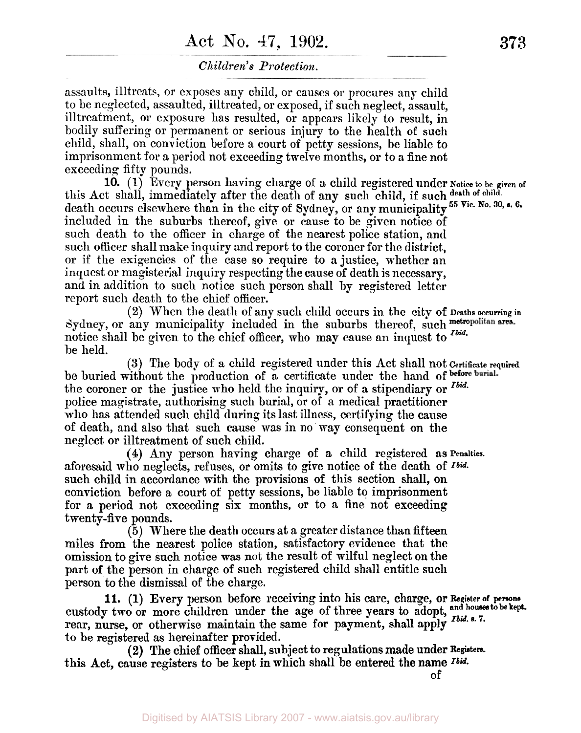# **Act** No. **47, 1902. 373**

### *Children's Protection.*

assaults, illtreats, or exposes any child, or causes or procures any child to be neglected, assaulted, illtreated, **or** exposed, if such neglect, assault, illtreatment, or exposure has resulted, or appears likely to result, in bodily suffering or permanent or serious injury to the health of such child, shall, on conviction before a court of petty sessions, be liable to imprisonment for a period not exceeding twelve months, or to a fine not exceeding fifty pounds.

this Act shall, immediately after the death of any such child, if such **death of child.**  included in the suburbs thereof, give or cause to be given notice of such death to the officer in charge of the nearest police station, and such officer shall make inquiry and report to the coroner for the district, or if the exigencies of the case so require to a justice, whether **an**  inquest or magisterial inquiry respecting the cause **of** death is necessary, and in addition to such notice such person shall by registered letter report such death to the chief officer. **10. (1)** Every person having charge of a child registered under **Notice to be given of**  death occurs elsewhere than in the city of Sydney, or any municipality *55* **Vic. No. 30, s. 6.** 

Sydney, or any municipality included in the suburbs thereof, such metropolitan area. notice shall be given to the chief officer, who may cause an inquest to *Ibid.*  be held. **(2)** When the death of any such child occurs in the city **of Deaths occurring in** 

be buried without the production of a certificate under the hand of before burial. the coroner or the justice who held the inquiry, **or of a** stipendiary or *Ibid.*  police magistrate, authorising such burial, or of a medical practitioner who has attended such child during its last illness, certifying the cause of death, and also that such cause was in no way consequent **on** the neglect or illtreatment of such child. **(3)** The body of a child registered under this Act shall not **Certificate required** 

aforesaid who neglects, refuses, or omits to give notice of the death of *Ibid.*  such child in accordance with the provisions of this section shall, on conviction before a court of petty sessions, be liable to imprisonment for a period not exceeding *six* months, or to a fine not exceeding twenty-five pounds. **(4) Any** person having charge of a child registered as **Penalties.** 

*(5)* Where the death occurs at a greater distance than fifteen miles from the nearest police station, satisfactory evidence that the omission to give such notice was not the result of wilful neglect on the part of the person in charge of such registered child shall entitle such person to the dismissal of the charge.

custody two or more children under the age of three years to adopt, and houses to be kept. rear, nurse, or otherwise maintain the same for payment, shall **apply**  *Ibid.* **s. 7.**  to be registered as hereinafter provided. **11.** (1) Every person before receiving into his care, charge, or Register of persons

this Act, cause registers to be kept in which shall be entered the name *Ibid.*  **(2)** The chief officer shall, subject **to** regulations made under **Registers.**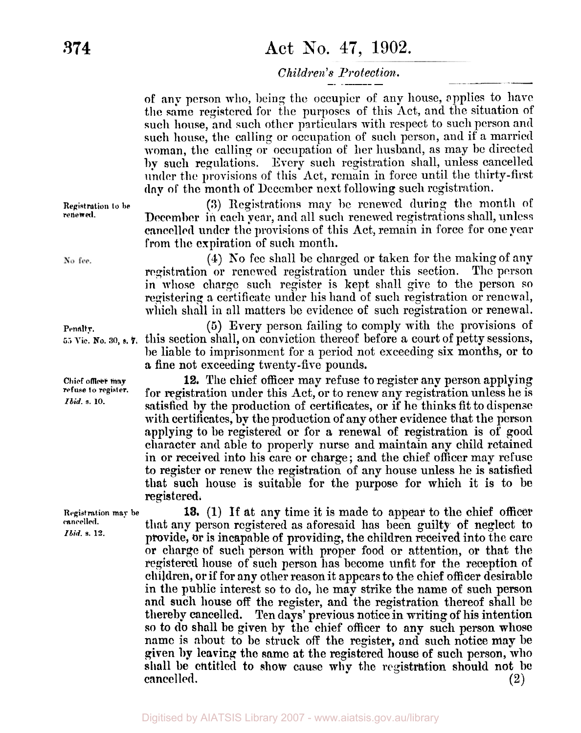# **374 Act** No. **47, 1902.**

### *Children's Protection.*

of any person who, being the occupier of any house, applies to have the same registered for the purposes of this Act, and the situation of such house, and such other particulars with respect to **such** person and such **house,** the calling or occupation of such person, and if a married woman, the calling or occupation of her husband, as may he directed **by** such regulations. Every such registration shall, unless cancelled **under** the provisions of this Act, remain in force until the thirty-first **day of** the month of December next following such registration.

**(3)** Registrations may be renewed during the month of December in each year, and all such renewed registrations shall, unless cancelled under the provisions of this Act, remain in force for one year **from** the expiration of such month.

**(4) No** fee shall be charged or taken for the making of any registration or renewed registration under this section. The person in **whose** charge such register is kept shall give to the person so registering a certificate under his hand of such registration or renewal, which shall in all matters be evidence of such registration or renewal.

*(5)* Every person failing to comply with the provisions of  $55$  Vic. No. 30, **s. 7.** this section shall, on conviction thereof before a court of petty sessions, **be** liable to imprisonment for a period not exceeding six months, or to a fine not exceeding twenty-five pounds.

> **12,** The chief officer may refuse to register any person applying for registration under this Act, or to renew any registration unless he is satisfied **by** the production of certificates, or if he thinks fit to dispense with certificates, **by** the production of any other evidence that the person applying to be registered or for a renewal of registration is of **good**  character and able to properly nurse and maintain any child retained in or received into his care or charge; and the chief officer may refuse to register or renew the registration of any house unless he is satisfied that such house is suitable for the purpose for which it **is** to be registered.

> **13.** (1) **If** at any time it is made to appear to the chief officer that any person registered as aforesaid has been guilty of neglect **to**  provide, or is incapable of providing, the children received into the care or charge of such person with proper food or attention, or. that the registered house of such person has become unfit for the reception of children, or if for any other reason it appears to the chief officer desirable in the public interest so to do, he may strike the name of such person and such house off the register, and the registration thereof shall be thereby cancelled. **Ten days'** previous notice **in** writing of his intention **so** to **do** shall **be** given by the chief officer to any **such** person **whose name** is about to be struck off the register, and such notice may be given **by** leaving the **same** at the registered house of such person, who shall **be** entitled to show cause **why** the registration should not **be**  cancel led. **(2)**

**Registration to be renewed.** 

No fee.

#### **Penalty.**

**Chief officer may refuse to register.**  *Ibid.* **s.** *10.* 

**Registration may be cancelled.**  *Ibid.* **s. 12.**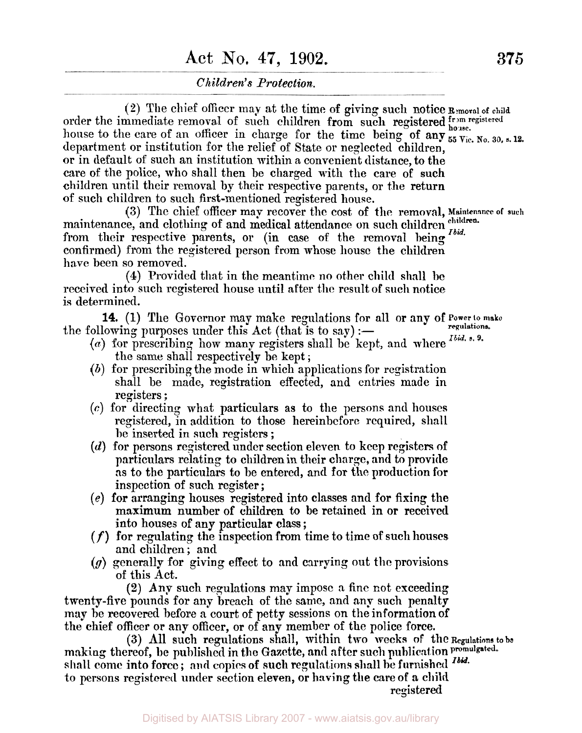# **Act** No. **47, 1902. 375**

### *Children's Protection.*

**(2)** The chief officer may at the time of giving such notice **Removal of child**  order the immediate removal of such children from such registered **from registered house.**  house to the care of an officer in charge for the time being of any  $_{55}^{30}$  Vie. No. 30, s. 12. department or institution for the relief of State or neglected children, or in default of such an institution within a convenient distance, to the **care** of the police, who shall then be charged with the care of such children until their removal by their respective parents, or the return of such children to such first-mentioned registered house.

maintenance, and clothing of and medical attendance on such children children. from their respective parents, or (in case of the removal being  $^{Ibid.}$ confirmed) from the registered person from whose house the children have been so removed. **(3)** The chief officer map recover the cost of the removal, **Maintenance of such** 

**(4)** Provided that in the meantime no other child shall **be**  received into such registered house until after the result of such notice is determined.

the following purposes under this Act (that is to say)  $:$   $-$ **14.** (1) The Governor may make regulations for all or any **of Power to make regulations.** 

- $(a)$  for prescribing how many registers shall be kept, and where  $<sup>Ibid. s. 9</sup>$ .</sup> the same shall respectively be kept ;
- *(h)* for prescribing the mode in which applications for registration shall be made, registration effected, and entries made in registers;
- *(c)* for directing what particulars **as** to the persons and houses registered, in addition to those hereinbefore required, shall be inserted in such registers ;
- *(d)* for persons registered under section eleven to keep registers of particulars relating to children in their charge, and to provide **as** to the particulars to be entered, and for tho production **for**  inspection of such register ;
- (e) for arranging houses registered into classes and for **fixing.** the maximum number of children to **be** retained in or received into houses of any particular class ;
- *(f)* for regulating the inspection **from** time to time of such **houses**  and children ; and
- *(g)* generally for giving effect to and carrying out the provisions of this Act.

(2) Any such regulations may impose a fine not exceeding twenty-five pounds for any breach of the same, and any such penalty may he recovered before a court of petty sessions on the information of the chief officer or any officer, or of any member of the police force.

making thereof, be published in the Gazette, and after such publication **promulgated. shall** come into **force** ; and copies **of** such regulations shall he furnished *Ibid.*  to persons registered under section eleven, **or** having the care of **a child (3)** All such regulations shall, within two **weeks of** the **Regulations to be**  registered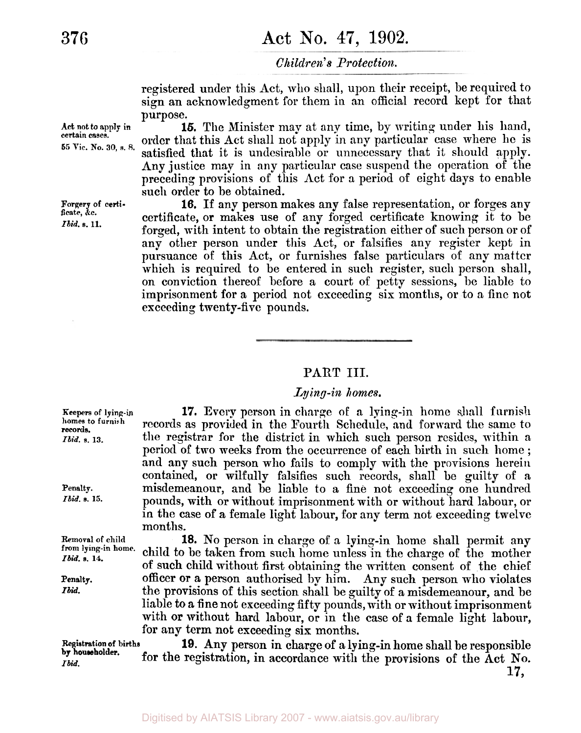registered under this Act, who shall, upon their receipt, be required to sign an acknowledgment for them in an official record kept for that purpose.

**15.** The Minister may at any time, by writing under his hand, order that this Act shall not apply in any particular case where he is satisfied that it is undesirable or unnecessary that it should apply. Any justice may in any particular case suspend the operation of the preceding provisions of this Act for a period of eight days to enable such order to be obtained.

**16.** If any person makes any false representation, or forges any certificate, **or** makes use of any forged certificate knowing it to be forged, with intent to obtain the registration either of such person or of' any other person under this Act, or falsifies any register kept in pursuance of this Act, or furnishes false particulars of any matter which is required to be entered in such register, such person shall, on conviction thereof before a court of petty sessions, be liable to imprisonment for a period not exceeding six months, or to a fine not exceeding twenty-five pounds.

#### **PART III.**

#### *Lying-in homes.*

**17.** Every person in charge of **a** lying-in home shall furnish records **as** provided in the Fourth Schedule, and forward the same to the registrar for the district in which such person resides, within a period of two weeks from the occurrence of each birth in such home ; and any such person who fails to comply with the provisions herein contained, or wilfully falsifies such records, shall be guilty of **a**  misdemeanour, and be liable to a fine not exceeding one hundred pounds, with or without imprisonment with or without hard labour, or in the case of a female light labour, for any term not exceeding twelve months.

**18.** No person in charge of a lying-in home shall permit any child to be taken from such home unless in the charge of the mother of such child without first obtaining the written consent of the chief officer or a person authorised by him. Any such person who violates the provisions of this section shall be guilty of a misdemeanour, and be liable to a fine not exceeding fifty pounds, with or without imprisonment with or without hard labour, or in the case of a female light labour, for any term not exceeding six months.

**19.** Any person in charge **of a** lying-in home shall be responsible for the registration, in accordance with the provisions of the Act No.

**17,** 

**Act not to apply in certain cases.**  *55* **Vic. No.** *30,* **s.** *8.* 

**Forgery of certificate, &c.**  *Ilid.* **s. 11.** 

**Keepers of lying-in**  homes **to furnish**  *Ibid.* **s. 13. records.** 

**Penalty.**  *Ibid.* **s. 15.** 

**Removal of child from lying-in home.**  *Ibid.* **s. 14.** 

**Penalty.**  *Ibid.* 

**Registration of births**  *Ibid.*  **by householder.**